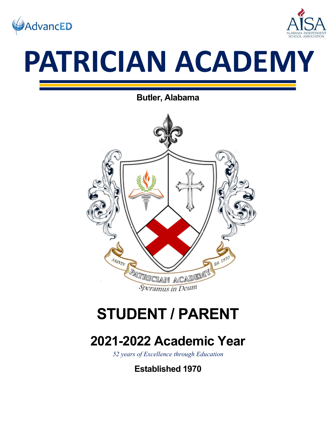



# **PATRICIAN ACADEMY**

**Butler, Alabama**



# **STUDENT / PARENT**

# **2021-2022 Academic Year**

*52 years of Excellence through Education*

**Established 1970**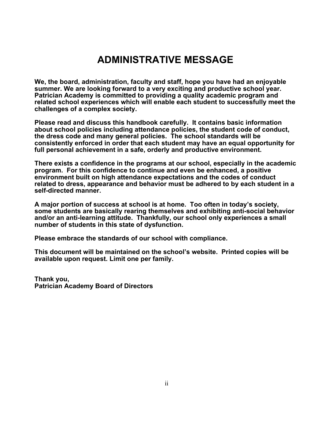# **ADMINISTRATIVE MESSAGE**

**We, the board, administration, faculty and staff, hope you have had an enjoyable summer. We are looking forward to a very exciting and productive school year. Patrician Academy is committed to providing a quality academic program and related school experiences which will enable each student to successfully meet the challenges of a complex society.**

**Please read and discuss this handbook carefully. It contains basic information about school policies including attendance policies, the student code of conduct, the dress code and many general policies. The school standards will be consistently enforced in order that each student may have an equal opportunity for full personal achievement in a safe, orderly and productive environment.**

**There exists a confidence in the programs at our school, especially in the academic program. For this confidence to continue and even be enhanced, a positive environment built on high attendance expectations and the codes of conduct related to dress, appearance and behavior must be adhered to by each student in a self-directed manner.** 

**A major portion of success at school is at home. Too often in today's society, some students are basically rearing themselves and exhibiting anti-social behavior and/or an anti-learning attitude. Thankfully, our school only experiences a small number of students in this state of dysfunction.**

**Please embrace the standards of our school with compliance.**

**This document will be maintained on the school's website. Printed copies will be available upon request. Limit one per family.**

**Thank you, Patrician Academy Board of Directors**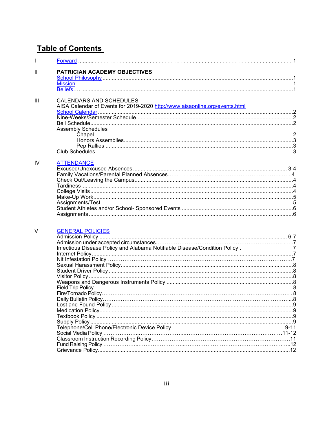## **Table of Contents**

| T   |                                                                             |                |  |
|-----|-----------------------------------------------------------------------------|----------------|--|
| Ш   | PATRICIAN ACADEMY OBJECTIVES                                                |                |  |
|     |                                                                             |                |  |
|     |                                                                             |                |  |
|     |                                                                             |                |  |
| III | <b>CALENDARS AND SCHEDULES</b>                                              |                |  |
|     | AISA Calendar of Events for 2019-2020 http://www.aisaonline.org/events.html |                |  |
|     |                                                                             |                |  |
|     |                                                                             |                |  |
|     |                                                                             |                |  |
|     | <b>Assembly Schedules</b>                                                   |                |  |
|     |                                                                             |                |  |
|     |                                                                             |                |  |
|     |                                                                             |                |  |
|     |                                                                             |                |  |
|     |                                                                             |                |  |
| IV  | <b>ATTENDANCE</b>                                                           |                |  |
|     |                                                                             |                |  |
|     |                                                                             |                |  |
|     |                                                                             |                |  |
|     |                                                                             |                |  |
|     |                                                                             |                |  |
|     |                                                                             |                |  |
|     |                                                                             |                |  |
|     |                                                                             |                |  |
|     |                                                                             |                |  |
|     |                                                                             |                |  |
| V   | <b>GENERAL POLICIES</b>                                                     |                |  |
|     |                                                                             |                |  |
|     |                                                                             |                |  |
|     | Infectious Disease Policy and Alabama Notifiable Disease/Condition Policy.  | $\overline{7}$ |  |
|     |                                                                             |                |  |
|     |                                                                             |                |  |
|     |                                                                             |                |  |
|     |                                                                             |                |  |
|     |                                                                             |                |  |
|     |                                                                             |                |  |
|     |                                                                             |                |  |
|     |                                                                             |                |  |
|     |                                                                             |                |  |
|     |                                                                             |                |  |
|     |                                                                             |                |  |
|     |                                                                             |                |  |
|     |                                                                             |                |  |
|     |                                                                             |                |  |
|     |                                                                             |                |  |
|     |                                                                             |                |  |
|     |                                                                             |                |  |
|     |                                                                             |                |  |
|     |                                                                             |                |  |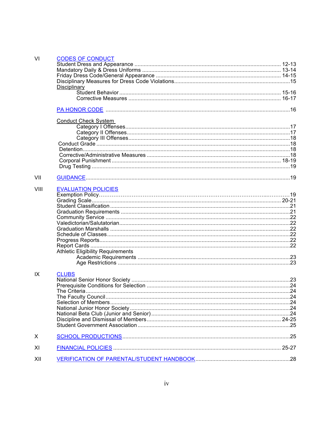| VI   | <b>CODES OF CONDUCT</b>                  |  |
|------|------------------------------------------|--|
|      |                                          |  |
|      |                                          |  |
|      |                                          |  |
|      |                                          |  |
|      | <b>Disciplinary</b>                      |  |
|      |                                          |  |
|      |                                          |  |
|      |                                          |  |
|      | <b>Conduct Check System</b>              |  |
|      |                                          |  |
|      |                                          |  |
|      |                                          |  |
|      |                                          |  |
|      |                                          |  |
|      |                                          |  |
|      |                                          |  |
|      |                                          |  |
| VII  |                                          |  |
| VIII | <b>EVALUATION POLICIES</b>               |  |
|      |                                          |  |
|      |                                          |  |
|      |                                          |  |
|      |                                          |  |
|      |                                          |  |
|      |                                          |  |
|      |                                          |  |
|      |                                          |  |
|      |                                          |  |
|      |                                          |  |
|      | <b>Athletic Eligibility Requirements</b> |  |
|      |                                          |  |
|      |                                          |  |
| IX   | <b>CLUBS</b>                             |  |
|      |                                          |  |
|      |                                          |  |
|      |                                          |  |
|      |                                          |  |
|      |                                          |  |
|      |                                          |  |
|      |                                          |  |
|      |                                          |  |
|      |                                          |  |
| X    |                                          |  |
| ΧI   |                                          |  |
| XII  |                                          |  |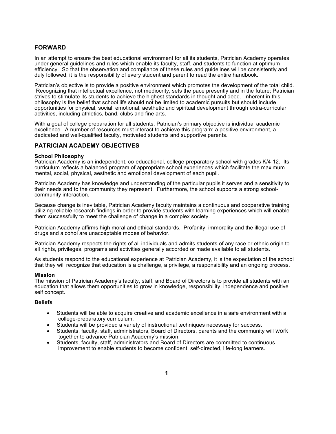#### **FORWARD**

In an attempt to ensure the best educational environment for all its students, Patrician Academy operates under general guidelines and rules which enable its faculty, staff, and students to function at optimum efficiency. So that the observation and compliance of these rules and guidelines will be consistently and duly followed, it is the responsibility of every student and parent to read the entire handbook.

Patrician's objective is to provide a positive environment which promotes the development of the total child. Recognizing that intellectual excellence, not mediocrity, sets the pace presently and in the future; Patrician strives to stimulate its students to achieve the highest standards in thought and deed. Inherent in this philosophy is the belief that school life should not be limited to academic pursuits but should include opportunities for physical, social, emotional, aesthetic and spiritual development through extra-curricular activities, including athletics, band, clubs and fine arts.

With a goal of college preparation for all students, Patrician's primary objective is individual academic excellence. A number of resources must interact to achieve this program: a positive environment, a dedicated and well-qualified faculty, motivated students and supportive parents.

#### **PATRICIAN ACADEMY OBJECTIVES**

#### **School Philosophy**

Patrician Academy is an independent, co-educational, college-preparatory school with grades K/4-12. Its curriculum reflects a balanced program of appropriate school experiences which facilitate the maximum mental, social, physical, aesthetic and emotional development of each pupil.

Patrician Academy has knowledge and understanding of the particular pupils it serves and a sensitivity to their needs and to the community they represent. Furthermore, the school supports a strong schoolcommunity interaction.

Because change is inevitable, Patrician Academy faculty maintains a continuous and cooperative training utilizing reliable research findings in order to provide students with learning experiences which will enable them successfully to meet the challenge of change in a complex society.

Patrician Academy affirms high moral and ethical standards. Profanity, immorality and the illegal use of drugs and alcohol are unacceptable modes of behavior.

Patrician Academy respects the rights of all individuals and admits students of any race or ethnic origin to all rights, privileges, programs and activities generally accorded or made available to all students.

As students respond to the educational experience at Patrician Academy, it is the expectation of the school that they will recognize that education is a challenge, a privilege, a responsibility and an ongoing process.

#### **Mission**

The mission of Patrician Academy's faculty, staff, and Board of Directors is to provide all students with an education that allows them opportunities to grow in knowledge, responsibility, independence and positive self concept.

#### **Beliefs**

- Students will be able to acquire creative and academic excellence in a safe environment with a college-preparatory curriculum.
- Students will be provided a variety of instructional techniques necessary for success.
- Students, faculty, staff, administrators, Board of Directors, parents and the community will work together to advance Patrician Academy's mission.
- Students, faculty, staff, administrators and Board of Directors are committed to continuous improvement to enable students to become confident, self-directed, life-long learners.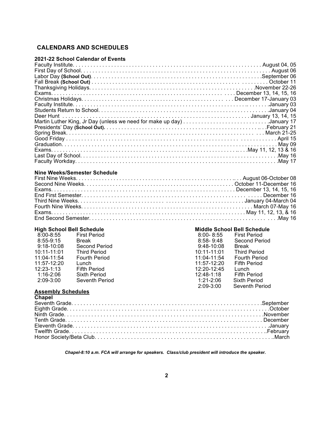#### **CALENDARS AND SCHEDULES**

#### **2021-22 School Calendar of Events**

#### **Nine Weeks/Semester Schedule**

| 8:00-8:55      | <b>First Period</b>  | $8:00 - 8:55$ | <b>First Period</b>  |
|----------------|----------------------|---------------|----------------------|
| 8:55-9:15      | <b>Break</b>         | $8:58-9:48$   | <b>Second Period</b> |
| $9:18-10:08$   | Second Period        | 9:48-10:08    | <b>Break</b>         |
| 10:11-11:01    | <b>Third Period</b>  | 10:11-11:01   | <b>Third Period</b>  |
| 11:04-11:54    | <b>Fourth Period</b> | 11:04-11:54   | <b>Fourth Period</b> |
| 11:57-12:20    | Lunch                | $11:57-12:20$ | <b>Fifth Period</b>  |
| $12:23 - 1:13$ | <b>Fifth Period</b>  | 12:20-12:45   | Lunch                |
| $1:16-2:06$    | Sixth Period         | $12:48-1:18$  | <b>Fifth Period</b>  |
| 2:09-3:00      | Seventh Period       | 1:21-2:06     | <b>Sixth Period</b>  |
|                |                      |               |                      |

#### High School Bell Schedule **Middle School Bell Schedule**

| $8:00 - 8:55$ | <b>First Period</b>  | $8:00 - 8:55$ | <b>First Period</b>  |
|---------------|----------------------|---------------|----------------------|
| 8:55-9:15     | Break                | $8:58 - 9:48$ | Second Period        |
| $9:18-10:08$  | Second Period        | $9:48-10:08$  | Break                |
| 10:11-11:01   | <b>Third Period</b>  | 10:11-11:01   | <b>Third Period</b>  |
| 11:04-11:54   | <b>Fourth Period</b> | 11:04-11:54   | <b>Fourth Period</b> |
| 11:57-12:20   | Lunch                | 11:57-12:20   | <b>Fifth Period</b>  |
| 12:23-1:13    | <b>Fifth Period</b>  | 12:20-12:45   | Lunch                |
| 1:16-2:06     | Sixth Period         | 12:48-1:18    | <b>Fifth Period</b>  |
| 2:09-3:00     | Seventh Period       | $1:21-2:06$   | <b>Sixth Period</b>  |
|               |                      | $2:09-3:00$   | Seventh Period       |
|               |                      |               |                      |

#### **Assembly Schedules**

*Chapel-8:10 a.m. FCA will arrange for speakers. Class/club president will introduce the speaker.*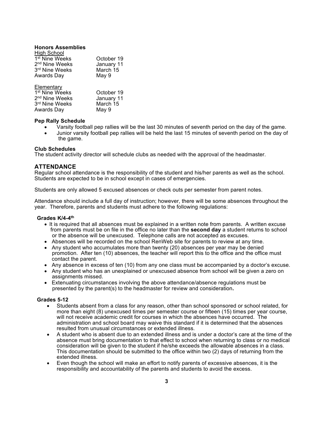#### **Honors Assemblies**

| High School                |            |
|----------------------------|------------|
| 1 <sup>st</sup> Nine Weeks | October 19 |
| 2 <sup>nd</sup> Nine Weeks | January 11 |
| 3rd Nine Weeks             | March 15   |
| Awards Day                 | May 9      |
|                            |            |

| Elementary                 |                     |
|----------------------------|---------------------|
| 1 <sup>st</sup> Nine Weeks | October 19          |
| 2 <sup>nd</sup> Nine Weeks | January 11          |
| Ord $M_{max}$ $M_{max}$    | $M = -1$ $\sqrt{5}$ |

| 3 <sup>rd</sup> Nine Weeks | March 15 |
|----------------------------|----------|
| Awards Day                 | May 9    |

#### **Pep Rally Schedule**

- Varsity football pep rallies will be the last 30 minutes of seventh period on the day of the game.
- Junior varsity football pep rallies will be held the last 15 minutes of seventh period on the day of the game.

#### **Club Schedules**

The student activity director will schedule clubs as needed with the approval of the headmaster.

#### **ATTENDANCE**

Regular school attendance is the responsibility of the student and his/her parents as well as the school. Students are expected to be in school except in cases of emergencies.

Students are only allowed 5 excused absences or check outs per semester from parent notes.

Attendance should include a full day of instruction; however, there will be some absences throughout the year. Therefore, parents and students must adhere to the following regulations:

#### **Grades K/4-4th**

- It is required that all absences must be explained in a written note from parents. A written excuse from parents must be on file in the office no later than the **second day** a student returns to school or the absence will be unexcused. Telephone calls are not accepted as excuses.
- Absences will be recorded on the school RenWeb site for parents to review at any time.
- Any student who accumulates more than twenty (20) absences per year may be denied promotion. After ten (10) absences, the teacher will report this to the office and the office must contact the parent.
- Any absence in excess of ten (10) from any one class must be accompanied by a doctor's excuse.
- Any student who has an unexplained or unexcused absence from school will be given a zero on assignments missed.
- Extenuating circumstances involving the above attendance/absence regulations must be presented by the parent(s) to the headmaster for review and consideration**.**

#### **Grades 5-12**

- Students absent from a class for any reason, other than school sponsored or school related, for more than eight (8) unexcused times per semester course or fifteen (15) times per year course, will not receive academic credit for courses in which the absences have occurred. The administration and school board may waive this standard if it is determined that the absences resulted from unusual circumstances or extended illness.
- A student who is absent due to an extended illness and is under a doctor's care at the time of the absence must bring documentation to that effect to school when returning to class or no medical consideration will be given to the student if he/she exceeds the allowable absences in a class. This documentation should be submitted to the office within two (2) days of returning from the extended illness.
- Even though the school will make an effort to notify parents of excessive absences, it is the responsibility and accountability of the parents and students to avoid the excess.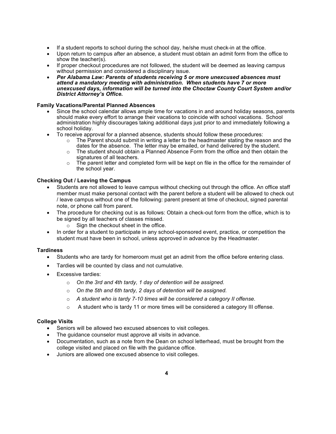- If a student reports to school during the school day, he/she must check-in at the office.
- Upon return to campus after an absence, a student must obtain an admit form from the office to show the teacher(s).
- If proper checkout procedures are not followed, the student will be deemed as leaving campus without permission and considered a disciplinary issue.
- *Per Alabama Law: Parents of students receiving 5 or more unexcused absences must attend a mandatory meeting with administration. When students have 7 or more unexcused days, information will be turned into the Choctaw County Court System and/or District Attorney's Office.*

#### **Family Vacations/Parental Planned Absences**

- Since the school calendar allows ample time for vacations in and around holiday seasons, parents should make every effort to arrange their vacations to coincide with school vacations. School administration highly discourages taking additional days just prior to and immediately following a school holiday.
- To receive approval for a planned absence, students should follow these procedures:
	- $\circ$  The Parent should submit in writing a letter to the headmaster stating the reason and the dates for the absence. The letter may be emailed, or hand delivered by the student.
	- $\circ$  The student should obtain a Planned Absence Form from the office and then obtain the signatures of all teachers.
	- $\circ$  The parent letter and completed form will be kept on file in the office for the remainder of the school year.

#### **Checking Out / Leaving the Campus**

- Students are not allowed to leave campus without checking out through the office. An office staff member must make personal contact with the parent before a student will be allowed to check out / leave campus without one of the following: parent present at time of checkout, signed parental note, or phone call from parent.
- The procedure for checking out is as follows: Obtain a check-out form from the office, which is to be signed by all teachers of classes missed.
	- o Sign the checkout sheet in the office.
- In order for a student to participate in any school-sponsored event, practice, or competition the student must have been in school, unless approved in advance by the Headmaster.

#### **Tardiness**

- Students who are tardy for homeroom must get an admit from the office before entering class.
- Tardies will be counted by class and not cumulative.
- Excessive tardies:
	- o *On the 3rd and 4th tardy, 1 day of detention will be assigned.*
	- o *On the 5th and 6th tardy, 2 days of detention will be assigned.*
	- o *A student who is tardy 7-10 times will be considered a category II offense.*
	- $\circ$  A student who is tardy 11 or more times will be considered a category III offense.

#### **College Visits**

- Seniors will be allowed two excused absences to visit colleges.
- The guidance counselor must approve all visits in advance.
- Documentation, such as a note from the Dean on school letterhead, must be brought from the college visited and placed on file with the guidance office.
- Juniors are allowed one excused absence to visit colleges.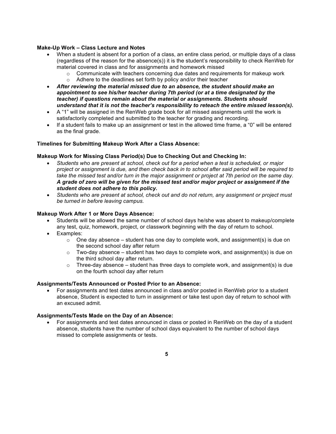#### **Make-Up Work – Class Lecture and Notes**

- When a student is absent for a portion of a class, an entire class period, or multiple days of a class (regardless of the reason for the absence(s)) it is the student's responsibility to check RenWeb for material covered in class and for assignments and homework missed
	- $\circ$  Communicate with teachers concerning due dates and requirements for makeup work
	- o Adhere to the deadlines set forth by policy and/or their teacher
- *After reviewing the material missed due to an absence, the student should make an appointment to see his/her teacher during 7th period (or at a time designated by the teacher) if questions remain about the material or assignments. Students should understand that it is not the teacher's responsibility to reteach the entire missed lesson(s).*
- A "1" will be assigned in the RenWeb grade book for all missed assignments until the work is satisfactorily completed and submitted to the teacher for grading and recording.
- If a student fails to make up an assignment or test in the allowed time frame, a "0" will be entered as the final grade.

#### **Timelines for Submitting Makeup Work After a Class Absence:**

#### **Makeup Work for Missing Class Period(s) Due to Checking Out and Checking In:**

- *Students who are present at school, check out for a period when a test is scheduled, or major project or assignment is due, and then check back in to school after said period will be required to take the missed test and/or turn in the major assignment or project at 7th period on the same day. A grade of zero will be given for the missed test and/or major project or assignment if the student does not adhere to this policy.*
- *Students who are present at school, check out and do not return, any assignment or project must be turned in before leaving campus.*

#### **Makeup Work After 1 or More Days Absence:**

- Students will be allowed the same number of school days he/she was absent to makeup/complete any test, quiz, homework, project, or classwork beginning with the day of return to school.
- Examples:
	- $\circ$  One day absence student has one day to complete work, and assignment(s) is due on the second school day after return
	- $\circ$  Two-day absence student has two days to complete work, and assignment(s) is due on the third school day after return.
	- $\circ$  Three-day absence student has three days to complete work, and assignment(s) is due on the fourth school day after return

#### **Assignments/Tests Announced or Posted Prior to an Absence:**

• For assignments and test dates announced in class and/or posted in RenWeb prior to a student absence, Student is expected to turn in assignment or take test upon day of return to school with an excused admit.

#### **Assignments/Tests Made on the Day of an Absence:**

• For assignments and test dates announced in class or posted in RenWeb on the day of a student absence, students have the number of school days equivalent to the number of school days missed to complete assignments or tests.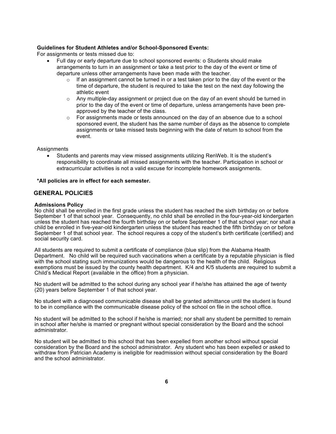#### **Guidelines for Student Athletes and/or School-Sponsored Events:**

For assignments or tests missed due to:

- Full day or early departure due to school sponsored events: o Students should make arrangements to turn in an assignment or take a test prior to the day of the event or time of departure unless other arrangements have been made with the teacher.
	- If an assignment cannot be turned in or a test taken prior to the day of the event or the time of departure, the student is required to take the test on the next day following the athletic event
	- $\circ$  Any multiple-day assignment or project due on the day of an event should be turned in prior to the day of the event or time of departure, unless arrangements have been preapproved by the teacher of the class.
	- $\circ$  For assignments made or tests announced on the day of an absence due to a school sponsored event, the student has the same number of days as the absence to complete assignments or take missed tests beginning with the date of return to school from the event.

**Assignments** 

• Students and parents may view missed assignments utilizing RenWeb. It is the student's responsibility to coordinate all missed assignments with the teacher. Participation in school or extracurricular activities is not a valid excuse for incomplete homework assignments.

**\*All policies are in effect for each semester.**

#### **GENERAL POLICIES**

#### **Admissions Policy**

No child shall be enrolled in the first grade unless the student has reached the sixth birthday on or before September 1 of that school year. Consequently, no child shall be enrolled in the four-year-old kindergarten unless the student has reached the fourth birthday on or before September 1 of that school year; nor shall a child be enrolled in five-year-old kindergarten unless the student has reached the fifth birthday on or before September 1 of that school year. The school requires a copy of the student's birth certificate (certified) and social security card.

All students are required to submit a certificate of compliance (blue slip) from the Alabama Health Department. No child will be required such vaccinations when a certificate by a reputable physician is filed with the school stating such immunizations would be dangerous to the health of the child. Religious exemptions must be issued by the county health department. K/4 and K/5 students are required to submit a Child's Medical Report (available in the office) from a physician.

No student will be admitted to the school during any school year if he/she has attained the age of twenty (20) years before September 1 of that school year.

No student with a diagnosed communicable disease shall be granted admittance until the student is found to be in compliance with the communicable disease policy of the school on file in the school office.

No student will be admitted to the school if he/she is married; nor shall any student be permitted to remain in school after he/she is married or pregnant without special consideration by the Board and the school administrator.

No student will be admitted to this school that has been expelled from another school without special consideration by the Board and the school administrator. Any student who has been expelled or asked to withdraw from Patrician Academy is ineligible for readmission without special consideration by the Board and the school administrator.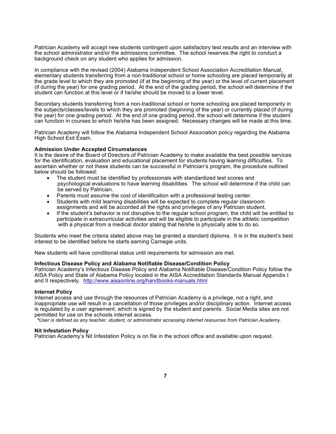Patrician Academy will accept new students contingent upon satisfactory test results and an interview with the school administrator and/or the admissions committee. The school reserves the right to conduct a background check on any student who applies for admission.

In compliance with the revised (2004) Alabama Independent School Association Accreditation Manual, elementary students transferring from a non-traditional school or home schooling are placed temporarily at the grade level to which they are promoted (if at the beginning of the year) or the level of current placement (if during the year) for one grading period. At the end of the grading period, the school will determine if the student can function at this level or if he/she should be moved to a lower level.

Secondary students transferring from a non-traditional school or home schooling are placed temporarily in the subjects/classes/levels to which they are promoted (beginning of the year) or currently placed (if during the year) for one grading period. At the end of one grading period, the school will determine if the student can function in courses to which he/she has been assigned. Necessary changes will be made at this time.

Patrician Academy will follow the Alabama Independent School Association policy regarding the Alabama High School Exit Exam.

#### **Admission Under Accepted Circumstances**

It is the desire of the Board of Directors of Patrician Academy to make available the best possible services for the identification, evaluation and educational placement for students having learning difficulties. To ascertain whether or not these students can be successful in Patrician's program, the procedure outlined below should be followed:

- The student must be identified by professionals with standardized test scores and psychological evaluations to have learning disabilities. The school will determine if the child can be served by Patrician.
- Parents must assume the cost of identification with a professional testing center.
- Students with mild learning disabilities will be expected to complete regular classroom assignments and will be accorded all the rights and privileges of any Patrician student.
- If the student's behavior is not disruptive to the regular school program, the child will be entitled to participate in extracurricular activities and will be eligible to participate in the athletic competition with a physical from a medical doctor stating that he/she is physically able to do so.

Students who meet the criteria stated above may be granted a standard diploma. It is in the student's best interest to be identified before he starts earning Carnegie units.

New students will have conditional status until requirements for admission are met.

#### **Infectious Disease Policy and Alabama Notifiable Disease/Condition Policy**

Patrician Academy's Infectious Disease Policy and Alabama Notifiable Disease/Condition Policy follow the AISA Policy and State of Alabama Policy located in the AISA Accreditation Standards Manual Appendix I and II respectively. http://www.aisaonline.org/handbooks-manuals.html

#### **Internet Policy**

Internet access and use through the resources of Patrician Academy is a privilege, not a right, and inappropriate use will result in a cancellation of those privileges and/or disciplinary action. Internet access is regulated by a user agreement, which is signed by the student and parents. Social Media sites are not permitted for use on the schools internet access.

*\*User is defined as any teacher, student, or administrator accessing Internet resources from Patrician Academy.*

#### **Nit Infestation Policy**

Patrician Academy's Nit Infestation Policy is on file in the school office and available upon request.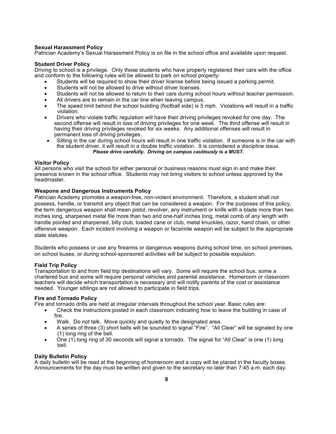#### **Sexual Harassment Policy**

Patrician Academy's Sexual Harassment Policy is on file in the school office and available upon request.

#### **Student Driver Policy**

Driving to school is a privilege. Only those students who have properly registered their cars with the office and conform to the following rules will be allowed to park on school property:

- Students will be required to show their driver license before being issued a parking permit.
- Students will not be allowed to drive without driver licenses.
- Students will not be allowed to return to their cars during school hours without teacher permission.
- All drivers are to remain in the car line when leaving campus.
- The speed limit behind the school building (football side) is 5 mph. Violations will result in a traffic violation.
- Drivers who violate traffic regulation will have their driving privileges revoked for one day. The second offense will result in loss of driving privileges for one week. The third offense will result in having their driving privileges revoked for six weeks. Any additional offenses will result in permanent loss of driving privileges.
- Sitting in the car during school hours will result in one traffic violation. If someone is in the car with the student driver, it will result in a double traffic violation. It is considered a discipline issue. *Please drive carefully. Driving on campus cautiously is a MUST.*

#### **Visitor Policy**

All persons who visit the school for either personal or business reasons must sign in and make their presence known in the school office. Students may not bring visitors to school unless approved by the headmaster.

#### **Weapons and Dangerous Instruments Policy**

Patrician Academy promotes a weapon-free, non-violent environment. Therefore, a student shall not possess, handle, or transmit any object that can be considered a weapon. For the purposes of this policy, the term dangerous weapon shall mean pistol, revolver, any instrument or knife with a blade more than two inches long, sharpened metal file more than two and one-half inches long, metal comb of any length with handle pointed and sharpened, billy club, loaded cane or club, metal knuckles, razor, hand chain, or other offensive weapon. Each incident involving a weapon or facsimile weapon will be subject to the appropriate state statutes.

Students who possess or use any firearms or dangerous weapons during school time, on school premises, on school buses, or during school-sponsored activities will be subject to possible expulsion.

#### **Field Trip Policy**

Transportation to and from field trip destinations will vary. Some will require the school bus, some a chartered bus and some will require personal vehicles and parental assistance. Homeroom or classroom teachers will decide which transportation is necessary and will notify parents of the cost or assistance needed. Younger siblings are not allowed to participate in field trips.

#### **Fire and Tornado Policy**

Fire and tornado drills are held at irregular intervals throughout the school year. Basic rules are:

- Check the instructions posted in each classroom indicating how to leave the building in case of fire.
- Walk. Do not talk. Move quickly and quietly to the designated area.
- A series of three (3) short bells will be sounded to signal "Fire". "All Clear" will be signaled by one (1) long ring of the bell.
- One (1) long ring of 30 seconds will signal a tornado. The signal for "All Clear" is one (1) long bell.

#### **Daily Bulletin Policy**

A daily bulletin will be read at the beginning of homeroom and a copy will be placed in the faculty boxes. Announcements for the day must be written and given to the secretary no later than 7:45 a.m. each day.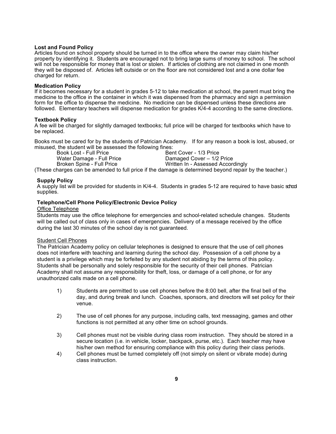#### **Lost and Found Policy**

Articles found on school property should be turned in to the office where the owner may claim his/her property by identifying it. Students are encouraged not to bring large sums of money to school. The school will not be responsible for money that is lost or stolen. If articles of clothing are not claimed in one month they will be disposed of. Articles left outside or on the floor are not considered lost and a one dollar fee charged for return.

#### **Medication Policy**

If it becomes necessary for a student in grades 5-12 to take medication at school, the parent must bring the medicine to the office in the container in which it was dispensed from the pharmacy and sign a permission form for the office to dispense the medicine. No medicine can be dispensed unless these directions are followed. Elementary teachers will dispense medication for grades K/4-4 according to the same directions.

#### **Textbook Policy**

A fee will be charged for slightly damaged textbooks; full price will be charged for textbooks which have to be replaced.

Books must be cared for by the students of Patrician Academy. If for any reason a book is lost, abused, or misused, the student will be assessed the following fines:

Bent Cover - 1/3 Price Water Damage - Full Price **Damaged Cover – 1/2 Price**<br>Broken Spine - Full Price **Damaged Cover - 1/2 Price** Written In - Assessed Accordingly

(These charges can be amended to full price if the damage is determined beyond repair by the teacher.)

#### **Supply Policy**

A supply list will be provided for students in K/4-4. Students in grades 5-12 are required to have basic school supplies.

#### **Telephone/Cell Phone Policy/Electronic Device Policy**

#### Office Telephone

Students may use the office telephone for emergencies and school-related schedule changes. Students will be called out of class only in cases of emergencies. Delivery of a message received by the office during the last 30 minutes of the school day is not guaranteed.

#### Student Cell Phones

The Patrician Academy policy on cellular telephones is designed to ensure that the use of cell phones does not interfere with teaching and learning during the school day. Possession of a cell phone by a student is a privilege which may be forfeited by any student not abiding by the terms of this policy. Students shall be personally and solely responsible for the security of their cell phones. Patrician Academy shall not assume any responsibility for theft, loss, or damage of a cell phone, or for any unauthorized calls made on a cell phone.

- 1) Students are permitted to use cell phones before the 8:00 bell, after the final bell of the day, and during break and lunch. Coaches, sponsors, and directors will set policy for their venue.
- 2) The use of cell phones for any purpose, including calls, text messaging, games and other functions is not permitted at any other time on school grounds.
- 3) Cell phones must not be visible during class room instruction. They should be stored in a secure location (i.e. in vehicle, locker, backpack, purse, etc.). Each teacher may have his/her own method for ensuring compliance with this policy during their class periods.
- 4) Cell phones must be turned completely off (not simply on silent or vibrate mode) during class instruction.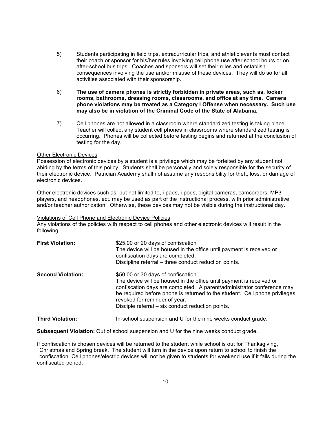- 5) Students participating in field trips, extracurricular trips, and athletic events must contact their coach or sponsor for his/her rules involving cell phone use after school hours or on after-school bus trips. Coaches and sponsors will set their rules and establish consequences involving the use and/or misuse of these devices. They will do so for all activities associated with their sponsorship.
- 6) **The use of camera phones is strictly forbidden in private areas, such as, locker rooms, bathrooms, dressing rooms, classrooms, and office at any time. Camera phone violations may be treated as a Category I Offense when necessary. Such use may also be in violation of the Criminal Code of the State of Alabama.**
- 7) Cell phones are not allowed in a classroom where standardized testing is taking place. Teacher will collect any student cell phones in classrooms where standardized testing is occurring. Phones will be collected before testing begins and returned at the conclusion of testing for the day.

#### Other Electronic Devices

Possession of electronic devices by a student is a privilege which may be forfeited by any student not abiding by the terms of this policy. Students shall be personally and solely responsible for the security of their electronic device. Patrician Academy shall not assume any responsibility for theft, loss, or damage of electronic devices.

Other electronic devices such as, but not limited to, i-pads, i-pods, digital cameras, camcorders, MP3 players, and headphones, ect. may be used as part of the instructional process, with prior administrative and/or teacher authorization. Otherwise, these devices may not be visible during the instructional day.

#### Violations of Cell Phone and Electronic Device Policies

Any violations of the policies with respect to cell phones and other electronic devices will result in the following:

| <b>First Violation:</b>  | \$25.00 or 20 days of confiscation<br>The device will be housed in the office until payment is received or<br>confiscation days are completed.<br>Discipline referral - three conduct reduction points.                                                                                                                                                  |
|--------------------------|----------------------------------------------------------------------------------------------------------------------------------------------------------------------------------------------------------------------------------------------------------------------------------------------------------------------------------------------------------|
| <b>Second Violation:</b> | \$50.00 or 30 days of confiscation<br>The device will be housed in the office until payment is received or<br>confiscation days are completed. A parent/administrator conference may<br>be required before phone is returned to the student. Cell phone privileges<br>revoked for reminder of year.<br>Disciple referral – six conduct reduction points. |
| <b>Third Violation:</b>  | In-school suspension and U for the nine weeks conduct grade.                                                                                                                                                                                                                                                                                             |

**Subsequent Violation:** Out of school suspension and U for the nine weeks conduct grade.

If confiscation is chosen devices will be returned to the student while school is out for Thanksgiving, Christmas and Spring break. The student will turn in the device upon return to school to finish the confiscation. Cell phones/electric devices will not be given to students for weekend use if it falls during the confiscated period.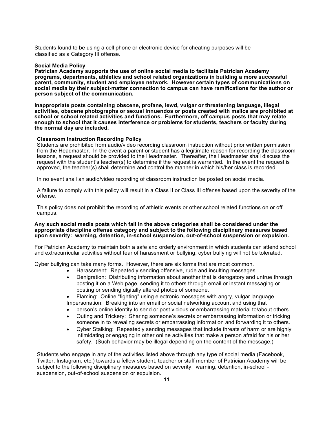Students found to be using a cell phone or electronic device for cheating purposes will be classified as a Category III offense.

#### **Social Media Policy**

**Patrician Academy supports the use of online social media to facilitate Patrician Academy programs, departments, athletics and school related organizations in building a more successful parent, community, student and employee network. However certain types of communications on social media by their subject-matter connection to campus can have ramifications for the author or person subject of the communication.** 

**Inappropriate posts containing obscene, profane, lewd, vulgar or threatening language, illegal activities, obscene photographs or sexual innuendos or posts created with malice are prohibited at school or school related activities and functions. Furthermore, off campus posts that may relate enough to school that it causes interference or problems for students, teachers or faculty during the normal day are included.** 

#### **Classroom Instruction Recording Policy**

Students are prohibited from audio/video recording classroom instruction without prior written permission from the Headmaster. In the event a parent or student has a legitimate reason for recording the classroom lessons, a request should be provided to the Headmaster. Thereafter, the Headmaster shall discuss the request with the student's teacher(s) to determine if the request is warranted. In the event the request is approved, the teacher(s) shall determine and control the manner in which his/her class is recorded.

In no event shall an audio/video recording of classroom instruction be posted on social media.

A failure to comply with this policy will result in a Class II or Class III offense based upon the severity of the offense.

This policy does not prohibit the recording of athletic events or other school related functions on or off campus.

#### **Any such social media posts which fall in the above categories shall be considered under the appropriate discipline offense category and subject to the following disciplinary measures based upon severity: warning, detention, in-school suspension, out-of-school suspension or expulsion.**

For Patrician Academy to maintain both a safe and orderly environment in which students can attend school and extracurricular activities without fear of harassment or bullying, cyber bullying will not be tolerated.

Cyber bullying can take many forms. However, there are six forms that are most common.

- Harassment: Repeatedly sending offensive, rude and insulting messages
- Denigration: Distributing information about another that is derogatory and untrue through posting it on a Web page, sending it to others through email or instant messaging or posting or sending digitally altered photos of someone.
- Flaming: Online "fighting" using electronic messages with angry, vulgar language Impersonation: Breaking into an email or social networking account and using that
- person's online identity to send or post vicious or embarrassing material to/about others.
- Outing and Trickery: Sharing someone's secrets or embarrassing information or tricking someone in to revealing secrets or embarrassing information and forwarding it to others.
- Cyber Stalking: Repeatedly sending messages that include threats of harm or are highly intimidating or engaging in other online activities that make a person afraid for his or her safety. (Such behavior may be illegal depending on the content of the message.)

Students who engage in any of the activities listed above through any type of social media (Facebook, Twitter, Instagram, etc.) towards a fellow student, teacher or staff member of Patrician Academy will be subject to the following disciplinary measures based on severity: warning, detention, in-school suspension, out-of-school suspension or expulsion.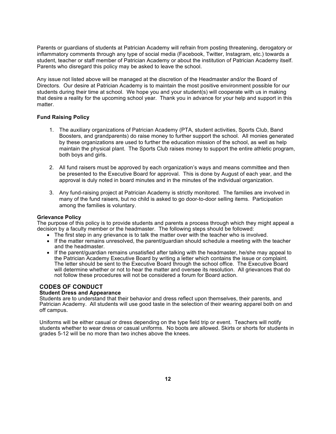Parents or guardians of students at Patrician Academy will refrain from posting threatening, derogatory or inflammatory comments through any type of social media (Facebook, Twitter, Instagram, etc.) towards a student, teacher or staff member of Patrician Academy or about the institution of Patrician Academy itself. Parents who disregard this policy may be asked to leave the school.

Any issue not listed above will be managed at the discretion of the Headmaster and/or the Board of Directors. Our desire at Patrician Academy is to maintain the most positive environment possible for our students during their time at school. We hope you and your student(s) will cooperate with us in making that desire a reality for the upcoming school year. Thank you in advance for your help and support in this matter.

#### **Fund Raising Policy**

- 1. The auxiliary organizations of Patrician Academy (PTA, student activities, Sports Club, Band Boosters, and grandparents) do raise money to further support the school. All monies generated by these organizations are used to further the education mission of the school, as well as help maintain the physical plant. The Sports Club raises money to support the entire athletic program, both boys and girls.
- 2. All fund raisers must be approved by each organization's ways and means committee and then be presented to the Executive Board for approval. This is done by August of each year, and the approval is duly noted in board minutes and in the minutes of the individual organization.
- 3. Any fund-raising project at Patrician Academy is strictly monitored. The families are involved in many of the fund raisers, but no child is asked to go door-to-door selling items. Participation among the families is voluntary.

#### **Grievance Policy**

The purpose of this policy is to provide students and parents a process through which they might appeal a decision by a faculty member or the headmaster. The following steps should be followed:

- The first step in any grievance is to talk the matter over with the teacher who is involved.
- If the matter remains unresolved, the parent/guardian should schedule a meeting with the teacher and the headmaster.
- If the parent/guardian remains unsatisfied after talking with the headmaster, he/she may appeal to the Patrician Academy Executive Board by writing a letter which contains the issue or complaint. The letter should be sent to the Executive Board through the school office. The Executive Board will determine whether or not to hear the matter and oversee its resolution. All grievances that do not follow these procedures will not be considered a forum for Board action.

#### **CODES OF CONDUCT**

#### **Student Dress and Appearance**

Students are to understand that their behavior and dress reflect upon themselves, their parents, and Patrician Academy. All students will use good taste in the selection of their wearing apparel both on and off campus.

Uniforms will be either casual or dress depending on the type field trip or event. Teachers will notify students whether to wear dress or casual uniforms. No boots are allowed. Skirts or shorts for students in grades 5-12 will be no more than two inches above the knees.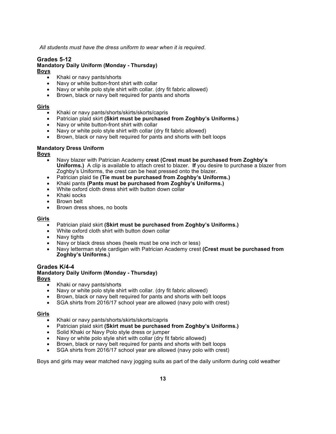*All students must have the dress uniform to wear when it is required*.

# **Grades 5-12**

#### **Mandatory Daily Uniform (Monday - Thursday)**

**Boys**

- Khaki or navy pants/shorts
- Navy or white button-front shirt with collar
- Navy or white polo style shirt with collar. (dry fit fabric allowed)
- Brown, black or navy belt required for pants and shorts

#### **Girls**

- Khaki or navy pants/shorts/skirts/skorts/capris
- Patrician plaid skirt **(Skirt must be purchased from Zoghby's Uniforms.)**
- Navy or white button-front shirt with collar
- Navy or white polo style shirt with collar (dry fit fabric allowed)
- Brown, black or navy belt required for pants and shorts with belt loops

#### **Mandatory Dress Uniform**

**Boys**

- Navy blazer with Patrician Academy **crest (Crest must be purchased from Zoghby's Uniforms.)** A clip is available to attach crest to blazer. **If** you desire to purchase a blazer from Zoghby's Uniforms, the crest can be heat pressed onto the blazer.
- Patrician plaid tie **(Tie must be purchased from Zoghby's Uniforms.)**
- Khaki pants **(Pants must be purchased from Zoghby's Uniforms.)**
- White oxford cloth dress shirt with button down collar
- Khaki socks
- Brown belt
- Brown dress shoes, no boots

#### **Girls**

- Patrician plaid skirt **(Skirt must be purchased from Zoghby's Uniforms.)**
- White oxford cloth shirt with button down collar
- Navy tights
- Navy or black dress shoes (heels must be one inch or less)
- Navy letterman style cardigan with Patrician Academy crest **(Crest must be purchased from Zoghby's Uniforms.)**

#### **Grades K/4-4**

#### **Mandatory Daily Uniform (Monday - Thursday) Boys**

- - Khaki or navy pants/shorts
	- Navy or white polo style shirt with collar. (dry fit fabric allowed)
	- Brown, black or navy belt required for pants and shorts with belt loops
	- SGA shirts from 2016/17 school year are allowed (navy polo with crest)

#### **Girls**

- Khaki or navy pants/shorts/skirts/skorts/capris
- Patrician plaid skirt **(Skirt must be purchased from Zoghby's Uniforms.)**
- Solid Khaki or Navy Polo style dress or jumper
- Navy or white polo style shirt with collar (dry fit fabric allowed)
- Brown, black or navy belt required for pants and shorts with belt loops
- SGA shirts from 2016/17 school year are allowed (navy polo with crest)

Boys and girls may wear matched navy jogging suits as part of the daily uniform during cold weather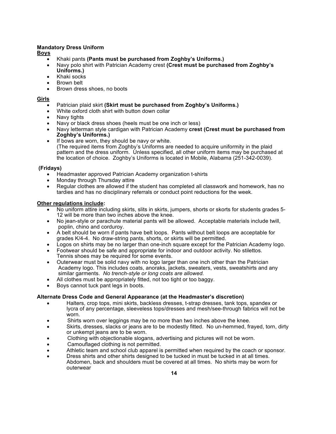#### **Mandatory Dress Uniform**

#### **Boys**

- Khaki pants **(Pants must be purchased from Zoghby's Uniforms.)**
- Navy polo shirt with Patrician Academy crest **(Crest must be purchased from Zoghby's Uniforms.)**
- Khaki socks
- Brown belt
- Brown dress shoes, no boots

#### **Girls**

- Patrician plaid skirt **(Skirt must be purchased from Zoghby's Uniforms.)**
- White oxford cloth shirt with button down collar
- Navy tights
- Navy or black dress shoes (heels must be one inch or less)
- Navy letterman style cardigan with Patrician Academy **crest (Crest must be purchased from Zoghby's Uniforms.)**
- If bows are worn, they should be navy or white. (The required items from Zoghby's Uniforms are needed to acquire uniformity in the plaid pattern and the dress uniform. Unless specified, all other uniform items may be purchased at the location of choice. Zoghby's Uniforms is located in Mobile, Alabama (251-342-0039).

#### **(Fridays)**

- Headmaster approved Patrician Academy organization t-shirts
- Monday through Thursday attire
- Regular clothes are allowed if the student has completed all classwork and homework, has no tardies and has no disciplinary referrals or conduct point reductions for the week.

#### **Other regulations include:**

- No uniform attire including skirts, slits in skirts, jumpers, shorts or skorts for students grades 5- 12 will be more than two inches above the knee.
- No jean-style or parachute material pants will be allowed. Acceptable materials include twill, poplin, chino and corduroy.
- A belt should be worn if pants have belt loops. Pants without belt loops are acceptable for grades K/4-4. No draw-string pants, shorts, or skirts will be permitted.
- Logos on shirts may be no larger than one-inch square except for the Patrician Academy logo.
- Footwear should be safe and appropriate for indoor and outdoor activity. No stilettos. Tennis shoes may be required for some events.
- Outerwear must be solid navy with no logo larger than one inch other than the Patrician Academy logo. This includes coats, anoraks, jackets, sweaters, vests, sweatshirts and any similar garments. *No trench-style or long coats are allowed.*
- All clothes must be appropriately fitted, not too tight or too baggy.
- Boys cannot tuck pant legs in boots.

#### **Alternate Dress Code and General Appearance (at the Headmaster's discretion)**

- Halters, crop tops, mini skirts, backless dresses, t-strap dresses, tank tops, spandex or lycra of any percentage, sleeveless tops/dresses and mesh/see-through fabrics will not be worn.
- Shirts worn over leggings may be no more than two inches above the knee.
- Skirts, dresses, slacks or jeans are to be modestly fitted. No un-hemmed, frayed, torn, dirty or unkempt jeans are to be worn.
- Clothing with objectionable slogans, advertising and pictures will not be worn.
- Camouflaged clothing is not permitted.
- Athletic team and school club apparel is permitted when required by the coach or sponsor.
- Dress shirts and other shirts designed to be tucked in must be tucked in at all times. Abdomen, back and shoulders must be covered at all times. No shirts may be worn for outerwear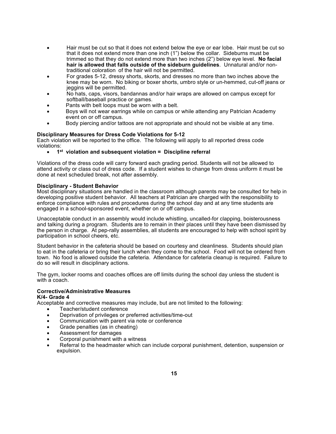- Hair must be cut so that it does not extend below the eye or ear lobe. Hair must be cut so that it does not extend more than one inch (1") below the collar. Sideburns must be trimmed so that they do not extend more than two inches (2") below eye level. **No facial hair is allowed that falls outside of the sideburn guidelines**. Unnatural and/or nontraditional coloration of the hair will not be permitted.
- For grades 5-12, dressy shorts, skorts, and dresses no more than two inches above the knee may be worn. No biking or boxer shorts, umbro style or un-hemmed, cut-off jeans or jeggins will be permitted.
- No hats, caps, visors, bandannas and/or hair wraps are allowed on campus except for softball/baseball practice or games.
- Pants with belt loops must be worn with a belt.
- Boys will not wear earrings while on campus or while attending any Patrician Academy event on or off campus.
- Body piercing and/or tattoos are not appropriate and should not be visible at any time.

#### **Disciplinary Measures for Dress Code Violations for 5-12**

Each violation will be reported to the office. The following will apply to all reported dress code violations:

#### • **1st violation and subsequent violation = Discipline referral**

Violations of the dress code will carry forward each grading period. Students will not be allowed to attend activity or class out of dress code. If a student wishes to change from dress uniform it must be done at next scheduled break, not after assembly.

#### **Disciplinary - Student Behavior**

Most disciplinary situations are handled in the classroom although parents may be consulted for help in developing positive student behavior. All teachers at Patrician are charged with the responsibility to enforce compliance with rules and procedures during the school day and at any time students are engaged in a school-sponsored event, whether on or off campus.

Unacceptable conduct in an assembly would include whistling, uncalled-for clapping, boisterousness and talking during a program. Students are to remain in their places until they have been dismissed by the person in charge. At pep-rally assemblies, all students are encouraged to help with school spirit by participation in school cheers, etc.

Student behavior in the cafeteria should be based on courtesy and cleanliness. Students should plan to eat in the cafeteria or bring their lunch when they come to the school. Food will not be ordered from town. No food is allowed outside the cafeteria. Attendance for cafeteria cleanup is required. Failure to do so will result in disciplinary actions.

The gym, locker rooms and coaches offices are off limits during the school day unless the student is with a coach.

#### **Corrective/Administrative Measures K/4- Grade 4**

Acceptable and corrective measures may include, but are not limited to the following:

- Teacher/student conference
- Deprivation of privileges or preferred activities/time-out
- Communication with parent via note or conference
- Grade penalties (as in cheating)
- Assessment for damages
- Corporal punishment with a witness
- Referral to the headmaster which can include corporal punishment, detention, suspension or expulsion.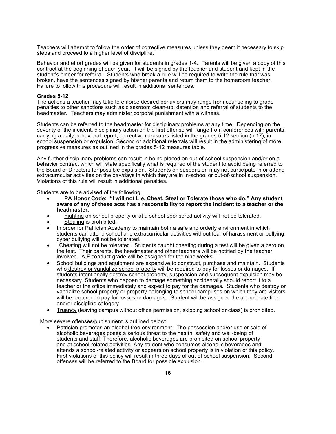Teachers will attempt to follow the order of corrective measures unless they deem it necessary to skip steps and proceed to a higher level of discipline**.**

Behavior and effort grades will be given for students in grades 1-4. Parents will be given a copy of this contract at the beginning of each year. It will be signed by the teacher and student and kept in the student's binder for referral. Students who break a rule will be required to write the rule that was broken, have the sentences signed by his/her parents and return them to the homeroom teacher. Failure to follow this procedure will result in additional sentences.

#### **Grades 5-12**

The actions a teacher may take to enforce desired behaviors may range from counseling to grade penalties to other sanctions such as classroom clean-up, detention and referral of students to the headmaster. Teachers may administer corporal punishment with a witness.

Students can be referred to the headmaster for disciplinary problems at any time. Depending on the severity of the incident, disciplinary action on the first offense will range from conferences with parents, carrying a daily behavioral report, corrective measures listed in the grades 5-12 section (p 17), inschool suspension or expulsion. Second or additional referrals will result in the administering of more progressive measures as outlined in the grades 5-12 measures table.

Any further disciplinary problems can result in being placed on out-of-school suspension and/or on a behavior contract which will state specifically what is required of the student to avoid being referred to the Board of Directors for possible expulsion. Students on suspension may not participate in or attend extracurricular activities on the day/days in which they are in in-school or out-of-school suspension. Violations of this rule will result in additional penalties.

Students are to be advised of the following:

- **PA Honor Code: "I will not Lie, Cheat, Steal or Tolerate those who do." Any student aware of any of these acts has a responsibility to report the incident to a teacher or the headmaster.**
- •Fighting on school property or at a school-sponsored activity will not be tolerated.
- Stealing is prohibited.
- In order for Patrician Academy to maintain both a safe and orderly environment in which students can attend school and extracurricular activities without fear of harassment or bullying, cyber bullying will not be tolerated.
- Cheating will not be tolerated. Students caught cheating during a test will be given a zero on the test. Their parents, the headmaster and other teachers will be notified by the teacher involved. A F conduct grade will be assigned for the nine weeks.
- School buildings and equipment are expensive to construct, purchase and maintain. Students who destroy or vandalize school property will be required to pay for losses or damages. If students intentionally destroy school property, suspension and subsequent expulsion may be necessary. Students who happen to damage something accidentally should report it to a teacher or the office immediately and expect to pay for the damages. Students who destroy or vandalize school property or property belonging to school campuses on which they are visitors will be required to pay for losses or damages. Student will be assigned the appropriate fine and/or discipline category
- Truancy (leaving campus without office permission, skipping school or class) is prohibited.

More severe offenses/punishment is outlined below:

Patrician promotes an alcohol-free environment. The possession and/or use or sale of alcoholic beverages poses a serious threat to the health, safety and well-being of students and staff. Therefore, alcoholic beverages are prohibited on school property and at school-related activities. Any student who consumes alcoholic beverages and attends a school-related activity or appears on school property is in violation of this policy. First violations of this policy will result in three days of out-of-school suspension. Second offenses will be referred to the Board for possible expulsion.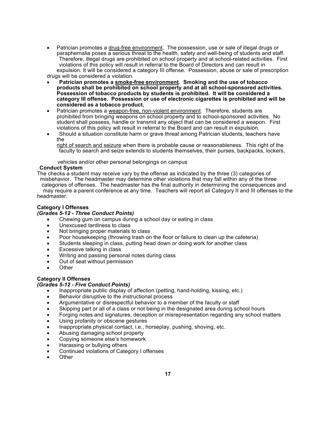- Patrician promotes a drug-free environment. The possession, use or sale of illegal drugs or paraphernalia poses a serious threat to the health, safety and well-being of students and staff. Therefore, illegal drugs are prohibited on school property and at school-related activities. First violations of this policy will result in referral to the Board of Directors and can result in expulsion. It will be considered a category III offense. Possession, abuse or sale of prescription drugs will be considered a violation.
- **Patrician promotes a smoke-free environment. Smoking and the use of tobacco products shall be prohibited on school property and at all school-sponsored activities. Possession of tobacco products by students is prohibited. It will be considered a category III offense. Possession or use of electronic cigarettes is prohibited and will be considered as a tobacco product.**
- Patrician promotes a weapon-free, non-violent environment. Therefore, students are prohibited from bringing weapons on school property and to school-sponsored activities. No student shall possess, handle or transmit any object that can be considered a weapon. First violations of this policy will result in referral to the Board and can result in expulsion.
- Should a situation constitute harm or grave threat among Patrician students, teachers have the

 right of search and seizure when there is probable cause or reasonableness. This right of the faculty to search and seize extends to students themselves, their purses, backpacks, lockers,

vehicles and/or other personal belongings on campus

#### **Conduct System**

The checks a student may receive vary by the offense as indicated by the three (3) categories of misbehavior. The headmaster may determine other violations that may fall within any of the three categories of offenses. The headmaster has the final authority in determining the consequences and may require a parent conference at any time. Teachers will report all Category II and III offenses to the headmaster.

#### **Category I Offenses**

#### *(Grades 5-12 - Three Conduct Points)*

- Chewing gum on campus during a school day or eating in class
- Unexcused tardiness to class
- Not bringing proper materials to class
- Poor housekeeping (throwing trash on the floor or failure to clean up the cafeteria)
- Students sleeping in class, putting head down or doing work for another class
- Excessive talking in class
- Writing and passing personal notes during class
- Out of seat without permission
- **Other**

#### **Category II Offenses**

#### *(Grades 5-12 - Five Conduct Points)*

- Inappropriate public display of affection (petting, hand-holding, kissing, etc.)
- Behavior disruptive to the instructional process
- Argumentative or disrespectful behavior to a member of the faculty or staff
- Skipping part or all of a class or not being in the designated area during school hours
- Forging notes and signatures, deception or misrepresentation regarding any school matters
- Using profanity or obscene gestures
- Inappropriate physical contact, i.e., horseplay, pushing, shoving, etc.
- Abusing damaging school property
- Copying someone else's homework
- Harassing or bullying others
- Continued violations of Category I offenses
- **Other**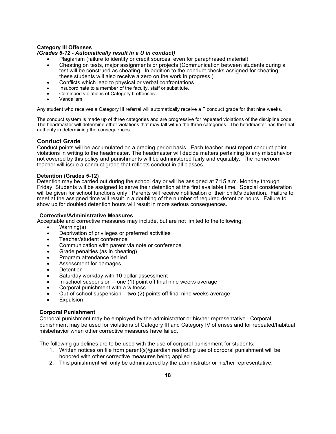#### **Category III Offenses**

#### *(Grades 5-12 - Automatically result in a U in conduct)*

- Plagiarism (failure to identify or credit sources, even for paraphrased material)
- Cheating on tests, major assignments or projects (Communication between students during a test will be construed as cheating. In addition to the conduct checks assigned for cheating, these students will also receive a zero on the work in progress.)
- Conflicts which lead to physical or verbal confrontations
- Insubordinate to a member of the faculty, staff or substitute.
- Continued violations of Category II offenses.
- Vandalism

Any student who receives a Category III referral will automatically receive a F conduct grade for that nine weeks.

The conduct system is made up of three categories and are progressive for repeated violations of the discipline code. The headmaster will determine other violations that may fall within the three categories. The headmaster has the final authority in determining the consequences.

#### **Conduct Grade**

Conduct points will be accumulated on a grading period basis. Each teacher must report conduct point violations in writing to the headmaster. The headmaster will decide matters pertaining to any misbehavior not covered by this policy and punishments will be administered fairly and equitably. The homeroom teacher will issue a conduct grade that reflects conduct in all classes.

#### **Detention (Grades 5-12)**

Detention may be carried out during the school day or will be assigned at 7:15 a.m. Monday through Friday. Students will be assigned to serve their detention at the first available time. Special consideration will be given for school functions only. Parents will receive notification of their child's detention. Failure to meet at the assigned time will result in a doubling of the number of required detention hours. Failure to show up for doubled detention hours will result in more serious consequences.

#### **Corrective/Administrative Measures**

Acceptable and corrective measures may include, but are not limited to the following:

- Warning(s)
- Deprivation of privileges or preferred activities
- Teacher/student conference
- Communication with parent via note or conference
- Grade penalties (as in cheating)
- Program attendance denied
- Assessment for damages
- Detention
- Saturday workday with 10 dollar assessment
- In-school suspension one  $(1)$  point off final nine weeks average
- Corporal punishment with a witness
- Out-of-school suspension two (2) points off final nine weeks average
- Expulsion

#### **Corporal Punishment**

Corporal punishment may be employed by the administrator or his/her representative. Corporal punishment may be used for violations of Category III and Category IV offenses and for repeated/habitual misbehavior when other corrective measures have failed.

The following guidelines are to be used with the use of corporal punishment for students:

- 1. Written notices on file from parent(s)/guardian restricting use of corporal punishment will be honored with other corrective measures being applied.
- 2. This punishment will only be administered by the administrator or his/her representative.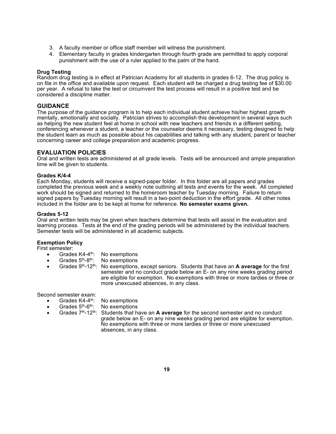- 3. A faculty member or office staff member will witness the punishment.
- 4. Elementary faculty in grades kindergarten through fourth grade are permitted to apply corporal punishment with the use of a ruler applied to the palm of the hand.

#### **Drug Testing**

Random drug testing is in effect at Patrician Academy for all students in grades 6-12. The drug policy is on file in the office and available upon request. Each student will be charged a drug testing fee of \$30.00 per year. A refusal to take the test or circumvent the test process will result in a positive test and be considered a discipline matter.

#### **GUIDANCE**

The purpose of the guidance program is to help each individual student achieve his/her highest growth mentally, emotionally and socially. Patrician strives to accomplish this development in several ways such as helping the new student feel at home in school with new teachers and friends in a different setting, conferencing whenever a student, a teacher or the counselor deems it necessary, testing designed to help the student learn as much as possible about his capabilities and talking with any student, parent or teacher concerning career and college preparation and academic progress.

#### **EVALUATION POLICIES**

Oral and written tests are administered at all grade levels. Tests will be announced and ample preparation time will be given to students.

#### **Grades K/4-4**

Each Monday, students will receive a signed-paper folder. In this folder are all papers and grades completed the previous week and a weekly note outlining all tests and events for the week. All completed work should be signed and returned to the homeroom teacher by Tuesday morning. Failure to return signed papers by Tuesday morning will result in a two-point deduction in the effort grade. All other notes included in the folder are to be kept at home for reference. **No semester exams given.**

#### **Grades 5-12**

Oral and written tests may be given when teachers determine that tests will assist in the evaluation and learning process. Tests at the end of the grading periods will be administered by the individual teachers. Semester tests will be administered in all academic subjects.

#### **Exemption Policy**

First semester:

- Grades  $K4-4^{\text{th}}$ : No exemptions
- Grades  $5<sup>th</sup>$ -8<sup>th</sup>: No exemptions
- Grades 9th-12th: No exemptions, except seniors. Students that have an **A average** for the first semester and no conduct grade below an E- on any nine weeks grading period are eligible for exemption. No exemptions with three or more tardies or three or more unexcused absences, in any class.

Second semester exam:

- Grades K4-4<sup>th</sup>: No exemptions
- Grades  $5<sup>th</sup>-6<sup>th</sup>$ : No exemptions
- Grades 7th-12th: Students that have an **A average** for the second semester and no conduct grade below an E- on any nine weeks grading period are eligible for exemption. No exemptions with three or more tardies or three or more unexcused absences, in any class.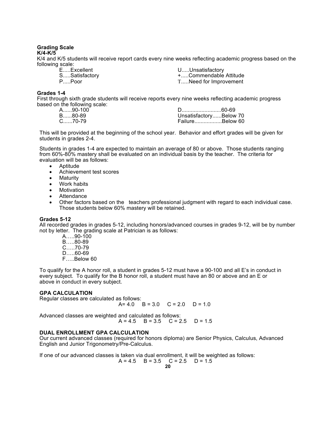#### **Grading Scale K/4-K/5**

K/4 and K/5 students will receive report cards every nine weeks reflecting academic progress based on the following scale:

| EExcellent    | UUnsatisfactory       |
|---------------|-----------------------|
| SSatisfactory | +Commendable Attitude |
| PPoor         | TNeed for Improvement |

#### **Grades 1-4**

First through sixth grade students will receive reports every nine weeks reflecting academic progress based on the following scale:

| D………………………60-69        |
|------------------------|
| UnsatisfactoryBelow 70 |
| FailureBelow 60        |
|                        |

This will be provided at the beginning of the school year. Behavior and effort grades will be given for students in grades 2-4.

Students in grades 1-4 are expected to maintain an average of 80 or above. Those students ranging from 60%-80% mastery shall be evaluated on an individual basis by the teacher. The criteria for evaluation will be as follows:

- Aptitude
- Achievement test scores
- Maturity
- Work habits
- Motivation
- Attendance
- Other factors based on the teachers professional judgment with regard to each individual case. Those students below 60% mastery will be retained.

#### **Grades 5-12**

All recorded grades in grades 5-12, including honors/advanced courses in grades 9-12, will be by number not by letter. The grading scale at Patrician is as follows:

- A…..90-100 B…..80-89
- C…..70-79
- D…..60-69
- F…..Below 60

To qualify for the A honor roll, a student in grades 5-12 must have a 90-100 and all E's in conduct in every subject. To qualify for the B honor roll, a student must have an 80 or above and an E or above in conduct in every subject.

#### **GPA CALCULATION**

Regular classes are calculated as follows:

 $A= 4.0$  B = 3.0 C = 2.0 D = 1.0

Advanced classes are weighted and calculated as follows:  $A = 4.5$  B = 3.5 C = 2.5 D = 1.5

#### **DUAL ENROLLMENT GPA CALCULATION**

Our current advanced classes (required for honors diploma) are Senior Physics, Calculus, Advanced English and Junior Trigonometry/Pre-Calculus.

If one of our advanced classes is taken via dual enrollment, it will be weighted as follows:

$$
A = 4.5
$$
  $B = 3.5$   $C = 2.5$   $D = 1.5$   
**20**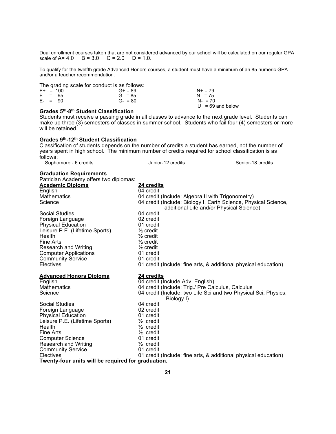Dual enrollment courses taken that are not considered advanced by our school will be calculated on our regular GPA scale of  $A = 4.0$   $B = 3.0$   $C = 2.0$   $D = 1.0$ .

To qualify for the twelfth grade Advanced Honors courses, a student must have a minimum of an 85 numeric GPA and/or a teacher recommendation.

|  |            | The grading scale for conduct is as follows: |                    |
|--|------------|----------------------------------------------|--------------------|
|  | $E+ = 100$ | $G_{+} = 89$                                 | $N + 79$           |
|  | $E = 95$   | $G = 85$                                     | $N = 75$           |
|  | $F - = 90$ | $G - 80$                                     | $N - 70$           |
|  |            |                                              | $U = 69$ and below |

#### **Grades 5th-8th Student Classification**

Students must receive a passing grade in all classes to advance to the next grade level. Students can make up three (3) semesters of classes in summer school. Students who fail four (4) semesters or more will be retained.

#### **Grades 9th-12th Student Classification**

Classification of students depends on the number of credits a student has earned, not the number of years spent in high school. The minimum number of credits required for school classification is as

| years spent in night scribbi. The minimum number of credits required for scribbi classification is as<br>follows: |                                                                 |                   |
|-------------------------------------------------------------------------------------------------------------------|-----------------------------------------------------------------|-------------------|
| Sophomore - 6 credits                                                                                             | Junior-12 credits                                               | Senior-18 credits |
| <b>Graduation Requirements</b>                                                                                    |                                                                 |                   |
| Patrician Academy offers two diplomas:                                                                            |                                                                 |                   |
| <b>Academic Diploma</b>                                                                                           | <b>24 credits</b>                                               |                   |
| English                                                                                                           | 04 credit                                                       |                   |
| <b>Mathematics</b>                                                                                                | 04 credit (Include: Algebra II with Trigonometry)               |                   |
| Science                                                                                                           | 04 credit (Include: Biology I, Earth Science, Physical Science, |                   |
|                                                                                                                   | additional Life and/or Physical Science)                        |                   |
| Social Studies                                                                                                    | 04 credit                                                       |                   |
| Foreign Language                                                                                                  | 02 credit                                                       |                   |
| <b>Physical Education</b>                                                                                         | 01 credit                                                       |                   |
| Leisure P.E. (Lifetime Sports)                                                                                    | $\frac{1}{2}$ credit                                            |                   |
| Health                                                                                                            | $\frac{1}{2}$ credit                                            |                   |
| Fine Arts                                                                                                         | $\frac{1}{2}$ credit                                            |                   |
| Research and Writing                                                                                              | $\frac{1}{2}$ credit                                            |                   |
| <b>Computer Applications</b>                                                                                      | 01 credit                                                       |                   |
| <b>Community Service</b>                                                                                          | 01 credit                                                       |                   |
| Electives                                                                                                         | 01 credit (Include: fine arts, & additional physical education) |                   |
| <b>Advanced Honors Diploma</b>                                                                                    | 24 credits                                                      |                   |
| English                                                                                                           | 04 credit (Include Adv. English)                                |                   |
| <b>Mathematics</b>                                                                                                | 04 credit (Include: Trig./ Pre Calculus, Calculus               |                   |
| Science                                                                                                           | 04 credit (Include: two Life Sci and two Physical Sci, Physics, |                   |
|                                                                                                                   | Biology I)                                                      |                   |
| Social Studies                                                                                                    | 04 credit                                                       |                   |
| Foreign Language                                                                                                  | 02 credit                                                       |                   |
| <b>Physical Education</b>                                                                                         | 01 cradit                                                       |                   |

Physical Education 01 credit Leisure P.E. (Lifetime Sports)  $\frac{1}{2}$  credit Health  $\frac{1}{2}$  credit Fine Arts<br>
Computer Science<br>
Computer Science<br>
Computer Science<br>
Computer Science<br>
Computer Science<br>
Computer Science<br>
Computer Science<br>
Computer Science<br>
Computer Science<br>
Computer Science Computer Science 01 credit<br>
Research and Writing  $\frac{1}{2}$  credit Research and Writing  $\frac{1}{2}$  credit<br>Community Service 01 credit Community Service<br>Electives 01 credit (Include: fine arts, & additional physical education) **Twenty-four units will be required for graduation.**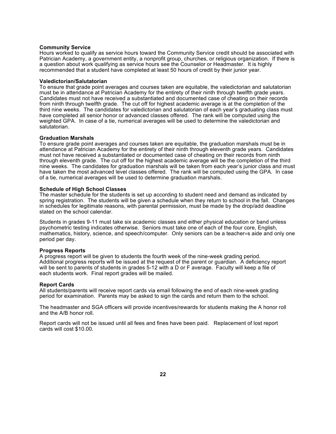#### **Community Service**

Hours worked to qualify as service hours toward the Community Service credit should be associated with Patrician Academy, a government entity, a nonprofit group, churches, or religious organization. If there is a question about work qualifying as service hours see the Counselor or Headmaster. It is highly recommended that a student have completed at least 50 hours of credit by their junior year.

#### **Valedictorian/Salutatorian**

To ensure that grade point averages and courses taken are equitable, the valedictorian and salutatorian must be in attendance at Patrician Academy for the entirety of their ninth through twelfth grade years. Candidates must not have received a substantiated and documented case of cheating on their records from ninth through twelfth grade. The cut off for highest academic average is at the completion of the third nine weeks. The candidates for valedictorian and salutatorian of each year's graduating class must have completed all senior honor or advanced classes offered. The rank will be computed using the weighted GPA. In case of a tie, numerical averages will be used to determine the valedictorian and salutatorian.

#### **Graduation Marshals**

To ensure grade point averages and courses taken are equitable, the graduation marshals must be in attendance at Patrician Academy for the entirety of their ninth through eleventh grade years. Candidates must not have received a substantiated or documented case of cheating on their records from ninth through eleventh grade. The cut off for the highest academic average will be the completion of the third nine weeks. The candidates for graduation marshals will be taken from each year's junior class and must have taken the most advanced level classes offered. The rank will be computed using the GPA. In case of a tie, numerical averages will be used to determine graduation marshals.

#### **Schedule of High School Classes**

The master schedule for the students is set up according to student need and demand as indicated by spring registration. The students will be given a schedule when they return to school in the fall. Changes in schedules for legitimate reasons, with parental permission, must be made by the drop/add deadline stated on the school calendar.

Students in grades 9-11 must take six academic classes and either physical education or band unless psychometric testing indicates otherwise. Seniors must take one of each of the four core, English, mathematics, history, science, and speech/computer. Only seniors can be a teacher=s aide and only one period per day.

#### **Progress Reports**

A progress report will be given to students the fourth week of the nine-week grading period. Additional progress reports will be issued at the request of the parent or guardian. A deficiency report will be sent to parents of students in grades 5-12 with a D or F average. Faculty will keep a file of each students work. Final report grades will be mailed.

#### **Report Cards**

All students/parents will receive report cards via email following the end of each nine-week grading period for examination. Parents may be asked to sign the cards and return them to the school.

The headmaster and SGA officers will provide incentives/rewards for students making the A honor roll and the A/B honor roll.

Report cards will not be issued until all fees and fines have been paid. Replacement of lost report cards will cost \$10.00.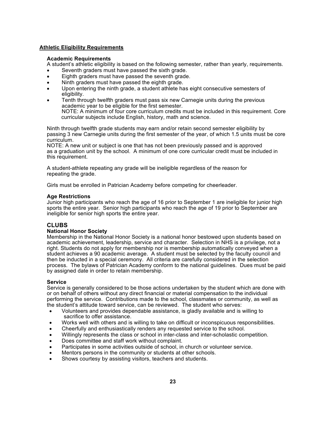#### **Athletic Eligibility Requirements**

#### **Academic Requirements**

A student's athletic eligibility is based on the following semester, rather than yearly, requirements.

- Seventh graders must have passed the sixth grade.
- Eighth graders must have passed the seventh grade.
- Ninth graders must have passed the eighth grade.
- Upon entering the ninth grade, a student athlete has eight consecutive semesters of eligibility.
- Tenth through twelfth graders must pass six new Carnegie units during the previous academic year to be eligible for the first semester. NOTE: A minimum of four core curriculum credits must be included in this requirement. Core curricular subjects include English, history, math and science.

Ninth through twelfth grade students may earn and/or retain second semester eligibility by passing 3 new Carnegie units during the first semester of the year, of which 1.5 units must be core curriculum.

NOTE: A new unit or subject is one that has not been previously passed and is approved as a graduation unit by the school. A minimum of one core curricular credit must be included in this requirement.

A student-athlete repeating any grade will be ineligible regardless of the reason for repeating the grade.

Girls must be enrolled in Patrician Academy before competing for cheerleader.

#### **Age Restrictions**

Junior high participants who reach the age of 16 prior to September 1 are ineligible for junior high sports the entire year. Senior high participants who reach the age of 19 prior to September are ineligible for senior high sports the entire year.

#### **CLUBS**

#### **National Honor Society**

Membership in the National Honor Society is a national honor bestowed upon students based on academic achievement, leadership, service and character. Selection in NHS is a privilege, not a right. Students do not apply for membership nor is membership automatically conveyed when a student achieves a 90 academic average. A student must be selected by the faculty council and then be inducted in a special ceremony. All criteria are carefully considered in the selection process. The bylaws of Patrician Academy conform to the national guidelines. Dues must be paid by assigned date in order to retain membership.

#### **Service**

Service is generally considered to be those actions undertaken by the student which are done with or on behalf of others without any direct financial or material compensation to the individual performing the service. Contributions made to the school, classmates or community, as well as the student's attitude toward service, can be reviewed. The student who serves:

- Volunteers and provides dependable assistance, is gladly available and is willing to sacrifice to offer assistance.
- Works well with others and is willing to take on difficult or inconspicuous responsibilities.
- Cheerfully and enthusiastically renders any requested service to the school.
- Willingly represents the class or school in inter-class and inter-scholastic competition.
- Does committee and staff work without complaint.
- Participates in some activities outside of school, in church or volunteer service.
- Mentors persons in the community or students at other schools.
- Shows courtesy by assisting visitors, teachers and students.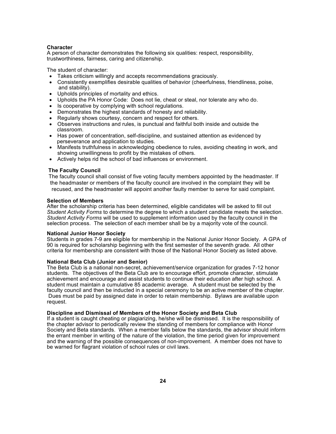#### **Character**

A person of character demonstrates the following six qualities: respect, responsibility, trustworthiness, fairness, caring and citizenship.

The student of character:

- Takes criticism willingly and accepts recommendations graciously.
- Consistently exemplifies desirable qualities of behavior (cheerfulness, friendliness, poise, and stability).
- Upholds principles of mortality and ethics.
- Upholds the PA Honor Code: Does not lie, cheat or steal, nor tolerate any who do.
- Is cooperative by complying with school regulations.
- Demonstrates the highest standards of honesty and reliability.
- Regularly shows courtesy, concern and respect for others.
- Observes instructions and rules, is punctual and faithful both inside and outside the classroom.
- Has power of concentration, self-discipline, and sustained attention as evidenced by perseverance and application to studies.
- Manifests truthfulness in acknowledging obedience to rules, avoiding cheating in work, and showing unwillingness to profit by the mistakes of others.
- Actively helps rid the school of bad influences or environment.

#### **The Faculty Council**

 The faculty council shall consist of five voting faculty members appointed by the headmaster. If the headmaster or members of the faculty council are involved in the complaint they will be recused, and the headmaster will appoint another faulty member to serve for said complaint.

#### **Selection of Members**

After the scholarship criteria has been determined, eligible candidates will be asked to fill out *Student Activity Forms* to determine the degree to which a student candidate meets the selection. *Student Activity Forms* will be used to supplement information used by the faculty council in the selection process. The selection of each member shall be by a majority vote of the council.

#### **National Junior Honor Society**

Students in grades 7-9 are eligible for membership in the National Junior Honor Society. A GPA of 90 is required for scholarship beginning with the first semester of the seventh grade. All other criteria for membership are consistent with those of the National Honor Society as listed above.

#### **National Beta Club (Junior and Senior)**

The Beta Club is a national non-secret, achievement/service organization for grades 7-12 honor students. The objectives of the Beta Club are to encourage effort, promote character, stimulate achievement and encourage and assist students to continue their education after high school. A student must maintain a cumulative 85 academic average. A student must be selected by the faculty council and then be inducted in a special ceremony to be an active member of the chapter. Dues must be paid by assigned date in order to retain membership. Bylaws are available upon request.

#### **Discipline and Dismissal of Members of the Honor Society and Beta Club**

If a student is caught cheating or plagiarizing, he/she will be dismissed. It is the responsibility of the chapter advisor to periodically review the standing of members for compliance with Honor Society and Beta standards. When a member falls below the standards, the advisor should inform the errant member in writing of the nature of the violation, the time period given for improvement and the warning of the possible consequences of non-improvement. A member does not have to be warned for flagrant violation of school rules or civil laws.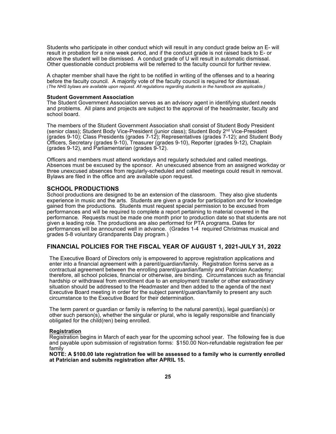Students who participate in other conduct which will result in any conduct grade below an E- will result in probation for a nine week period, and if the conduct grade is not raised back to E- or above the student will be dismissed. A conduct grade of U will result in automatic dismissal. Other questionable conduct problems will be referred to the faculty council for further review.

A chapter member shall have the right to be notified in writing of the offenses and to a hearing before the faculty council. A majority vote of the faculty council is required for dismissal. (*The NHS bylaws are available upon request. All regulations regarding students in the handbook are applicable.)*

#### **Student Government Association**

The Student Government Association serves as an advisory agent in identifying student needs and problems. All plans and projects are subject to the approval of the headmaster, faculty and school board.

The members of the Student Government Association shall consist of Student Body President (senior class); Student Body Vice-President (junior class); Student Body  $2^{nd}$  Vice-President (grades 9-10); Class Presidents (grades 7-12); Representatives (grades 7-12); and Student Body Officers, Secretary (grades 9-10), Treasurer (grades 9-10), Reporter (grades 9-12), Chaplain (grades 9-12), and Parliamentarian (grades 9-12).

Officers and members must attend workdays and regularly scheduled and called meetings. Absences must be excused by the sponsor. An unexcused absence from an assigned workday or three unexcused absences from regularly-scheduled and called meetings could result in removal. Bylaws are filed in the office and are available upon request.

#### **SCHOOL PRODUCTIONS**

School productions are designed to be an extension of the classroom. They also give students experience in music and the arts. Students are given a grade for participation and for knowledge gained from the productions. Students must request special permission to be excused from performances and will be required to complete a report pertaining to material covered in the performance. Requests must be made one month prior to production date so that students are not given a leading role. The productions are also performed for PTA programs. Dates for performances will be announced well in advance. (Grades 1-4 required Christmas musical and grades 5-8 voluntary Grandparents Day program.)

#### **FINANCIAL POLICIES FOR THE FISCAL YEAR OF AUGUST 1, 2021-JULY 31, 2022**

The Executive Board of Directors only is empowered to approve registration applications and enter into a financial agreement with a parent/guardian/family. Registration forms serve as a contractual agreement between the enrolling parent/guardian/family and Patrician Academy; therefore, all school policies, financial or otherwise, are binding. Circumstances such as financial hardship or withdrawal from enrollment due to an employment transfer or other extraordinary situation should be addressed to the Headmaster and then added to the agenda of the next Executive Board meeting in order for the subject parent/guardian/family to present any such circumstance to the Executive Board for their determination.

The term parent or guardian or family is referring to the natural parent(s), legal guardian(s) or other such person(s), whether the singular or plural, who is legally responsible and financially obligated for the child(ren) being enrolled.

#### **Registration**

Registration begins in March of each year for the upcoming school year. The following fee is due and payable upon submission of registration forms: \$150.00 Non-refundable registration fee per family

**NOTE: A \$100.00 late registration fee will be assessed to a family who is currently enrolled at Patrician and submits registration after APRIL 15.**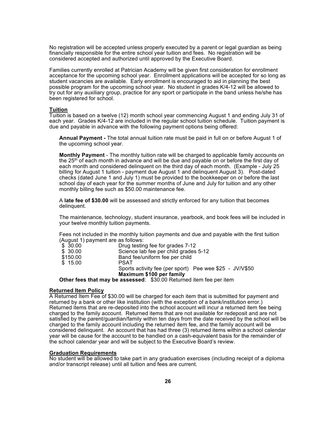No registration will be accepted unless properly executed by a parent or legal guardian as being financially responsible for the entire school year tuition and fees. No registration will be considered accepted and authorized until approved by the Executive Board.

Families currently enrolled at Patrician Academy will be given first consideration for enrollment acceptance for the upcoming school year. Enrollment applications will be accepted for so long as student vacancies are available. Early enrollment is encouraged to aid in planning the best possible program for the upcoming school year. No student in grades K/4-12 will be allowed to try out for any auxiliary group, practice for any sport or participate in the band unless he/she has been registered for school.

#### **Tuition**

Tuition is based on a twelve (12) month school year commencing August 1 and ending July 31 of each year. Grades K/4-12 are included in the regular school tuition schedule. Tuition payment is due and payable in advance with the following payment options being offered:

**Annual Payment -** The total annual tuition rate must be paid in full on or before August 1 of the upcoming school year.

**Monthly Payment** - The monthly tuition rate will be charged to applicable family accounts on the 25<sup>th</sup> of each month in advance and will be due and payable on or before the first day of each month and considered delinquent on the third day of each month. (Example - July 25 billing for August 1 tuition - payment due August 1 and delinquent August 3). Post-dated checks (dated June 1 and July 1) must be provided to the bookkeeper on or before the last school day of each year for the summer months of June and July for tuition and any other monthly billing fee such as \$50.00 maintenance fee.

A **late fee of \$30.00** will be assessed and strictly enforced for any tuition that becomes delinquent.

The maintenance, technology, student insurance, yearbook, and book fees will be included in your twelve monthly tuition payments.

Fees not included in the monthly tuition payments and due and payable with the first tuition (August 1) payment are as follows:

| \$30.00  | Drug testing fee for grades 7-12                                    |
|----------|---------------------------------------------------------------------|
| \$30.00  | Science lab fee per child grades 5-12                               |
| \$150.00 | Band fee/uniform fee per child                                      |
| \$15.00  | <b>PSAT</b>                                                         |
|          | Sports activity fee (per sport) Pee wee \$25 - JV/V\$50             |
|          | Maximum \$100 per family                                            |
|          | Other fees that may be assessed: \$30.00 Returned item fee per item |

#### **Returned Item Policy**

A Returned Item Fee of \$30.00 will be charged for each item that is submitted for payment and returned by a bank or other like institution (with the exception of a bank/institution error.) Returned items that are re-deposited into the school account will incur a returned item fee being charged to the family account. Returned items that are not available for redeposit and are not satisfied by the parent/guardian/family within ten days from the date received by the school will be charged to the family account including the returned item fee, and the family account will be considered delinquent. An account that has had three (3) returned items within a school calendar year will be cause for the account to be handled on a cash-equivalent basis for the remainder of the school calendar year and will be subject to the Executive Board's review.

#### **Graduation Requirements**

No student will be allowed to take part in any graduation exercises (including receipt of a diploma and/or transcript release) until all tuition and fees are current.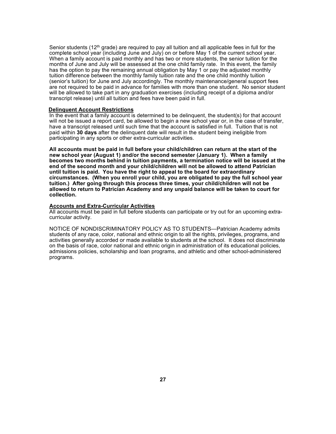Senior students ( $12<sup>th</sup>$  grade) are required to pay all tuition and all applicable fees in full for the complete school year (including June and July) on or before May 1 of the current school year. When a family account is paid monthly and has two or more students, the senior tuition for the months of June and July will be assessed at the one child family rate. In this event, the family has the option to pay the remaining annual obligation by May 1 or pay the adjusted monthly tuition difference between the monthly family tuition rate and the one child monthly tuition (senior's tuition) for June and July accordingly. The monthly maintenance/general support fees are not required to be paid in advance for families with more than one student. No senior student will be allowed to take part in any graduation exercises (including receipt of a diploma and/or transcript release) until all tuition and fees have been paid in full.

#### **Delinquent Account Restrictions**

In the event that a family account is determined to be delinquent, the student(s) for that account will not be issued a report card, be allowed to begin a new school year or, in the case of transfer, have a transcript released until such time that the account is satisfied in full. Tuition that is not paid within **30 days** after the delinquent date will result in the student being ineligible from participating in any sports or other extra-curricular activities.

**All accounts must be paid in full before your child/children can return at the start of the new school year (August 1) and/or the second semester (January 1). When a family becomes two months behind in tuition payments, a termination notice will be issued at the end of the second month and your child/children will not be allowed to attend Patrician until tuition is paid. You have the right to appeal to the board for extraordinary circumstances. (When you enroll your child, you are obligated to pay the full school year tuition.) After going through this process three times, your child/children will not be allowed to return to Patrician Academy and any unpaid balance will be taken to court for collection.**

#### **Accounts and Extra-Curricular Activities**

All accounts must be paid in full before students can participate or try out for an upcoming extracurricular activity.

NOTICE OF NONDISCRIMINATORY POLICY AS TO STUDENTS—Patrician Academy admits students of any race, color, national and ethnic origin to all the rights, privileges, programs, and activities generally accorded or made available to students at the school. It does not discriminate on the basis of race, color national and ethnic origin in administration of its educational policies, admissions policies, scholarship and loan programs, and athletic and other school-administered programs.